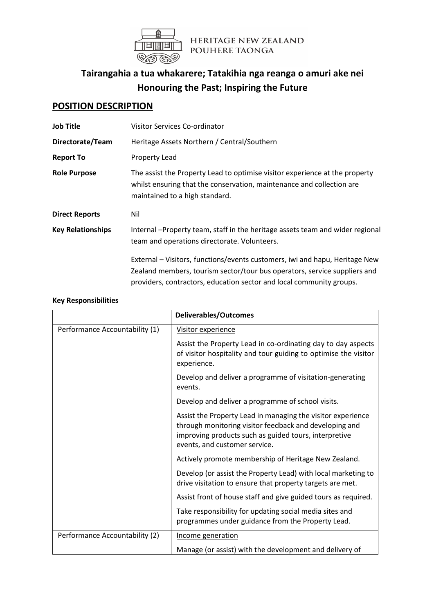

# **Tairangahia a tua whakarere; Tatakihia nga reanga o amuri ake nei Honouring the Past; Inspiring the Future**

## **POSITION DESCRIPTION**

| <b>Job Title</b>         | Visitor Services Co-ordinator                                                                                                                                                          |  |
|--------------------------|----------------------------------------------------------------------------------------------------------------------------------------------------------------------------------------|--|
| Directorate/Team         | Heritage Assets Northern / Central/Southern                                                                                                                                            |  |
| <b>Report To</b>         | Property Lead                                                                                                                                                                          |  |
| <b>Role Purpose</b>      | The assist the Property Lead to optimise visitor experience at the property<br>whilst ensuring that the conservation, maintenance and collection are<br>maintained to a high standard. |  |
| <b>Direct Reports</b>    | Nil                                                                                                                                                                                    |  |
| <b>Key Relationships</b> | Internal -Property team, staff in the heritage assets team and wider regional<br>team and operations directorate. Volunteers.                                                          |  |
|                          | External - Visitors, functions/events customers, iwi and hapu, Heritage New<br>Zealand members, tourism sector/tour bus operators, service suppliers and                               |  |

#### **Key Responsibilities**

|                                | <b>Deliverables/Outcomes</b>                                                                                                                                                                                    |
|--------------------------------|-----------------------------------------------------------------------------------------------------------------------------------------------------------------------------------------------------------------|
| Performance Accountability (1) | Visitor experience                                                                                                                                                                                              |
|                                | Assist the Property Lead in co-ordinating day to day aspects<br>of visitor hospitality and tour guiding to optimise the visitor<br>experience.                                                                  |
|                                | Develop and deliver a programme of visitation-generating<br>events.                                                                                                                                             |
|                                | Develop and deliver a programme of school visits.                                                                                                                                                               |
|                                | Assist the Property Lead in managing the visitor experience<br>through monitoring visitor feedback and developing and<br>improving products such as guided tours, interpretive<br>events, and customer service. |
|                                | Actively promote membership of Heritage New Zealand.                                                                                                                                                            |
|                                | Develop (or assist the Property Lead) with local marketing to<br>drive visitation to ensure that property targets are met.                                                                                      |
|                                | Assist front of house staff and give guided tours as required.                                                                                                                                                  |
|                                | Take responsibility for updating social media sites and<br>programmes under guidance from the Property Lead.                                                                                                    |
| Performance Accountability (2) | Income generation                                                                                                                                                                                               |
|                                | Manage (or assist) with the development and delivery of                                                                                                                                                         |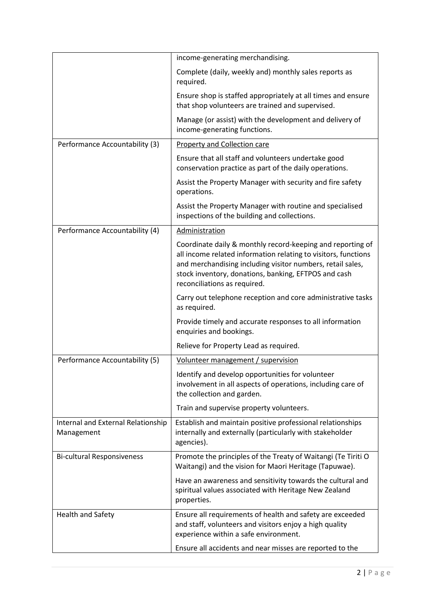|                                                  | income-generating merchandising.                                                                                                                                                                                                                                                   |
|--------------------------------------------------|------------------------------------------------------------------------------------------------------------------------------------------------------------------------------------------------------------------------------------------------------------------------------------|
|                                                  | Complete (daily, weekly and) monthly sales reports as<br>required.                                                                                                                                                                                                                 |
|                                                  | Ensure shop is staffed appropriately at all times and ensure<br>that shop volunteers are trained and supervised.                                                                                                                                                                   |
|                                                  | Manage (or assist) with the development and delivery of<br>income-generating functions.                                                                                                                                                                                            |
| Performance Accountability (3)                   | <b>Property and Collection care</b>                                                                                                                                                                                                                                                |
|                                                  | Ensure that all staff and volunteers undertake good<br>conservation practice as part of the daily operations.                                                                                                                                                                      |
|                                                  | Assist the Property Manager with security and fire safety<br>operations.                                                                                                                                                                                                           |
|                                                  | Assist the Property Manager with routine and specialised<br>inspections of the building and collections.                                                                                                                                                                           |
| Performance Accountability (4)                   | Administration                                                                                                                                                                                                                                                                     |
|                                                  | Coordinate daily & monthly record-keeping and reporting of<br>all income related information relating to visitors, functions<br>and merchandising including visitor numbers, retail sales,<br>stock inventory, donations, banking, EFTPOS and cash<br>reconciliations as required. |
|                                                  | Carry out telephone reception and core administrative tasks<br>as required.                                                                                                                                                                                                        |
|                                                  | Provide timely and accurate responses to all information<br>enquiries and bookings.                                                                                                                                                                                                |
|                                                  | Relieve for Property Lead as required.                                                                                                                                                                                                                                             |
| Performance Accountability (5)                   | <u>Volunteer management / supervision</u>                                                                                                                                                                                                                                          |
|                                                  | Identify and develop opportunities for volunteer<br>involvement in all aspects of operations, including care of<br>the collection and garden.                                                                                                                                      |
|                                                  | Train and supervise property volunteers.                                                                                                                                                                                                                                           |
| Internal and External Relationship<br>Management | Establish and maintain positive professional relationships<br>internally and externally (particularly with stakeholder<br>agencies).                                                                                                                                               |
| <b>Bi-cultural Responsiveness</b>                | Promote the principles of the Treaty of Waitangi (Te Tiriti O<br>Waitangi) and the vision for Maori Heritage (Tapuwae).                                                                                                                                                            |
|                                                  | Have an awareness and sensitivity towards the cultural and<br>spiritual values associated with Heritage New Zealand<br>properties.                                                                                                                                                 |
| Health and Safety                                | Ensure all requirements of health and safety are exceeded<br>and staff, volunteers and visitors enjoy a high quality<br>experience within a safe environment.                                                                                                                      |
|                                                  | Ensure all accidents and near misses are reported to the                                                                                                                                                                                                                           |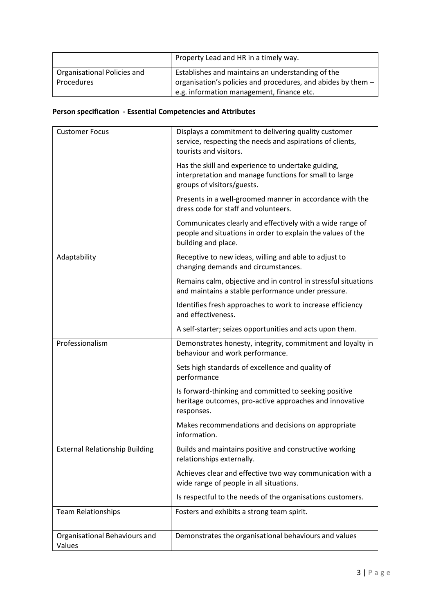|                             | Property Lead and HR in a timely way.                        |
|-----------------------------|--------------------------------------------------------------|
| Organisational Policies and | Establishes and maintains an understanding of the            |
| Procedures                  | organisation's policies and procedures, and abides by them - |
|                             | e.g. information management, finance etc.                    |

### **Person specification - Essential Competencies and Attributes**

| <b>Customer Focus</b>                   | Displays a commitment to delivering quality customer<br>service, respecting the needs and aspirations of clients,<br>tourists and visitors.     |
|-----------------------------------------|-------------------------------------------------------------------------------------------------------------------------------------------------|
|                                         | Has the skill and experience to undertake guiding,<br>interpretation and manage functions for small to large<br>groups of visitors/guests.      |
|                                         | Presents in a well-groomed manner in accordance with the<br>dress code for staff and volunteers.                                                |
|                                         | Communicates clearly and effectively with a wide range of<br>people and situations in order to explain the values of the<br>building and place. |
| Adaptability                            | Receptive to new ideas, willing and able to adjust to<br>changing demands and circumstances.                                                    |
|                                         | Remains calm, objective and in control in stressful situations<br>and maintains a stable performance under pressure.                            |
|                                         | Identifies fresh approaches to work to increase efficiency<br>and effectiveness.                                                                |
|                                         | A self-starter; seizes opportunities and acts upon them.                                                                                        |
| Professionalism                         | Demonstrates honesty, integrity, commitment and loyalty in<br>behaviour and work performance.                                                   |
|                                         | Sets high standards of excellence and quality of<br>performance                                                                                 |
|                                         | Is forward-thinking and committed to seeking positive<br>heritage outcomes, pro-active approaches and innovative<br>responses.                  |
|                                         | Makes recommendations and decisions on appropriate<br>information.                                                                              |
| <b>External Relationship Building</b>   | Builds and maintains positive and constructive working<br>relationships externally.                                                             |
|                                         | Achieves clear and effective two way communication with a<br>wide range of people in all situations.                                            |
|                                         | Is respectful to the needs of the organisations customers.                                                                                      |
| <b>Team Relationships</b>               | Fosters and exhibits a strong team spirit.                                                                                                      |
| Organisational Behaviours and<br>Values | Demonstrates the organisational behaviours and values                                                                                           |